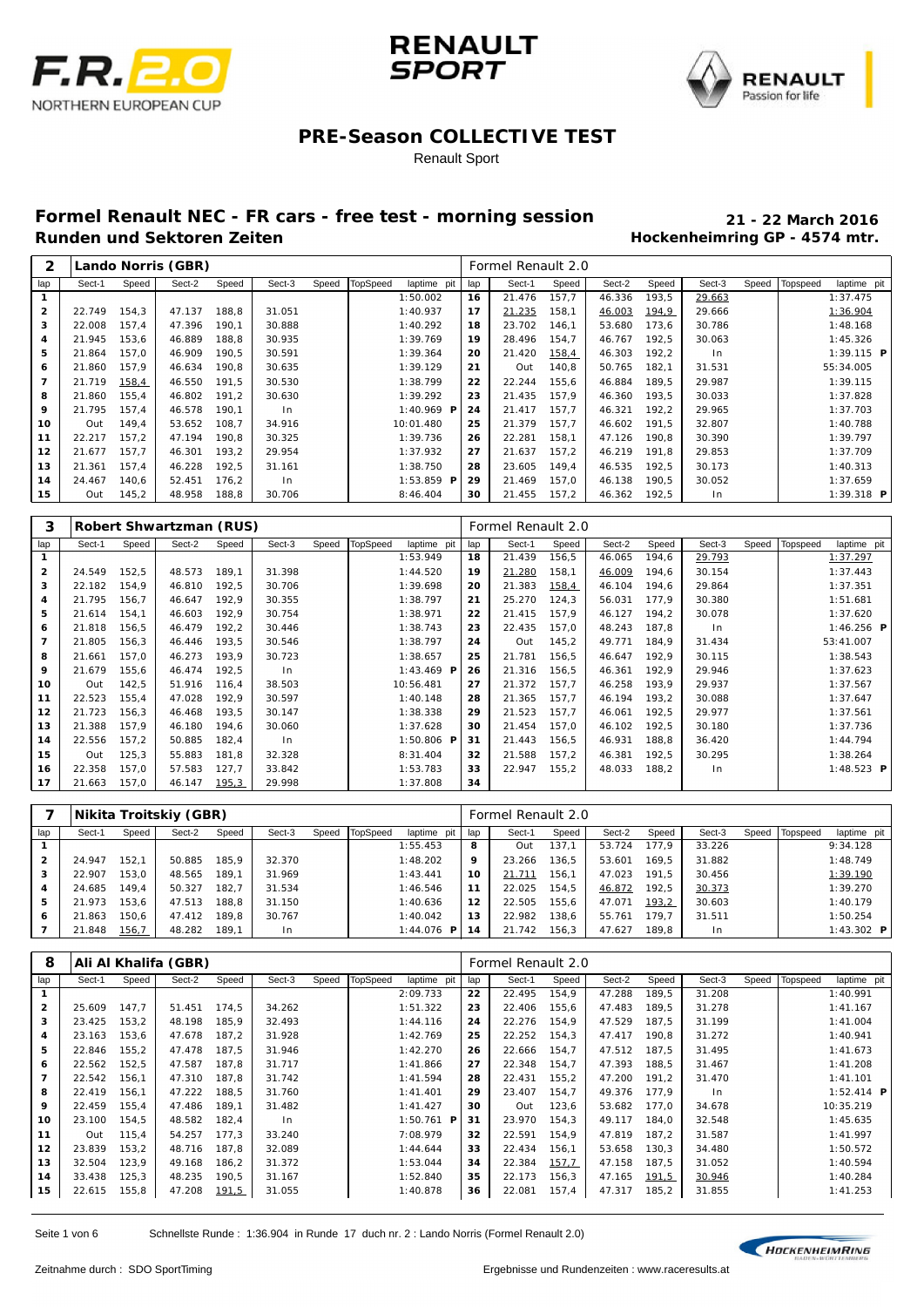





#### Renault Sport

# **Formel Renault NEC - FR cars - free test - morning session 21 - 22 March 2016**

**Hockenheimring GP - 4574 mtr.** 

| 2            |        |        | Lando Norris (GBR) |       |        |       |          |                 |     | Formel Renault 2.0 |       |        |       |        |       |          |              |  |
|--------------|--------|--------|--------------------|-------|--------|-------|----------|-----------------|-----|--------------------|-------|--------|-------|--------|-------|----------|--------------|--|
| lap          | Sect-1 | Speed  | Sect-2             | Speed | Sect-3 | Speed | TopSpeed | laptime pit     | lap | Sect-1             | Speed | Sect-2 | Speed | Sect-3 | Speed | Topspeed | laptime pit  |  |
|              |        |        |                    |       |        |       |          | 1:50.002        | 16  | 21.476             | 157.7 | 46.336 | 193.5 | 29.663 |       |          | 1:37.475     |  |
| $\mathbf{2}$ | 22.749 | 154,3  | 47.137             | 188,8 | 31.051 |       |          | 1:40.937        | 17  | 21.235             | 158,1 | 46.003 | 194,9 | 29.666 |       |          | 1:36.904     |  |
| з            | 22.008 | 157,4  | 47.396             | 190.1 | 30.888 |       |          | 1:40.292        | 18  | 23.702             | 146.1 | 53.680 | 173.6 | 30.786 |       |          | 1:48.168     |  |
| 4            | 21.945 | 153,6  | 46.889             | 188.8 | 30.935 |       |          | 1:39.769        | 19  | 28.496             | 154,7 | 46.767 | 192.5 | 30.063 |       |          | 1:45.326     |  |
| 5            | 21.864 | 157,0  | 46.909             | 190.5 | 30.591 |       |          | 1:39.364        | 20  | 21.420             | 158,4 | 46.303 | 192,2 | ln     |       |          | $1:39.115$ P |  |
| 6            | 21.860 | 157.9  | 46.634             | 190.8 | 30.635 |       |          | 1:39.129        | 21  | Out                | 140.8 | 50.765 | 182.1 | 31.531 |       |          | 55: 34.005   |  |
| 7            | 21.719 | 158,4  | 46.550             | 191.5 | 30.530 |       |          | 1:38.799        | 22  | 22.244             | 155.6 | 46.884 | 189.5 | 29.987 |       |          | 1:39.115     |  |
| 8            | 21.860 | 155.4  | 46.802             | 191.2 | 30.630 |       |          | 1:39.292        | 23  | 21.435             | 157.9 | 46.360 | 193.5 | 30.033 |       |          | 1:37.828     |  |
| 9            | 21.795 | 157,4  | 46.578             | 190.1 | l n    |       |          | 1:40.969 P      | 24  | 21.417             | 157.7 | 46.321 | 192,2 | 29.965 |       |          | 1:37.703     |  |
| 10           | Out    | 149,4  | 53.652             | 108.7 | 34.916 |       |          | 10:01.480       | 25  | 21.379             | 157,7 | 46.602 | 191.5 | 32.807 |       |          | 1:40.788     |  |
| 11           | 22.217 | 157.2  | 47.194             | 190.8 | 30.325 |       |          | 1:39.736        | 26  | 22.281             | 158,1 | 47.126 | 190.8 | 30.390 |       |          | 1:39.797     |  |
| 12           | 21.677 | 157.7  | 46.301             | 193.2 | 29.954 |       |          | 1:37.932        | 27  | 21.637             | 157.2 | 46.219 | 191.8 | 29.853 |       |          | 1:37.709     |  |
| 13           | 21.361 | 157,4  | 46.228             | 192,5 | 31.161 |       |          | 1:38.750        | 28  | 23.605             | 149.4 | 46.535 | 192,5 | 30.173 |       |          | 1:40.313     |  |
| 14           | 24.467 | 140,6  | 52.451             | 176.2 | In.    |       |          | 1:53.859<br>- P | 29  | 21.469             | 157,0 | 46.138 | 190.5 | 30.052 |       |          | 1:37.659     |  |
| 15           | Out    | 145, 2 | 48.958             | 188,8 | 30.706 |       |          | 8:46.404        | 30  | 21.455             | 157,2 | 46.362 | 192.5 | In.    |       |          | $1:39.318$ P |  |

| 3              |        |       | Robert Shwartzman (RUS) |       |        |       |          |                         |     | Formel Renault 2.0 |       |        |       |        |       |          |                     |  |
|----------------|--------|-------|-------------------------|-------|--------|-------|----------|-------------------------|-----|--------------------|-------|--------|-------|--------|-------|----------|---------------------|--|
| lap            | Sect-1 | Speed | Sect-2                  | Speed | Sect-3 | Speed | TopSpeed | laptime pit             | lap | Sect-1             | Speed | Sect-2 | Speed | Sect-3 | Speed | Topspeed | laptime pit         |  |
| $\mathbf{1}$   |        |       |                         |       |        |       |          | 1:53.949                | 18  | 21.439             | 156,5 | 46.065 | 194,6 | 29.793 |       |          | 1:37.297            |  |
| $\overline{2}$ | 24.549 | 152,5 | 48.573                  | 189.1 | 31.398 |       |          | 1:44.520                | 19  | 21.280             | 158,1 | 46.009 | 194,6 | 30.154 |       |          | 1:37.443            |  |
| 3              | 22.182 | 154,9 | 46.810                  | 192,5 | 30.706 |       |          | 1:39.698                | 20  | 21.383             | 158,4 | 46.104 | 194,6 | 29.864 |       |          | 1:37.351            |  |
| 4              | 21.795 | 156,7 | 46.647                  | 192.9 | 30.355 |       |          | 1:38.797                | 21  | 25.270             | 124,3 | 56.031 | 177,9 | 30.380 |       |          | 1:51.681            |  |
| 5              | 21.614 | 154,1 | 46.603                  | 192.9 | 30.754 |       |          | 1:38.971                | 22  | 21.415             | 157.9 | 46.127 | 194.2 | 30.078 |       |          | 1:37.620            |  |
| 6              | 21.818 | 156,5 | 46.479                  | 192.2 | 30.446 |       |          | 1:38.743                | 23  | 22.435             | 157.0 | 48.243 | 187.8 | In     |       |          | $1:46.256$ <b>P</b> |  |
| 7              | 21.805 | 156,3 | 46.446                  | 193.5 | 30.546 |       |          | 1:38.797                | 24  | Out                | 145,2 | 49.771 | 184,9 | 31.434 |       |          | 53:41.007           |  |
| 8              | 21.661 | 157,0 | 46.273                  | 193.9 | 30.723 |       |          | 1:38.657                | 25  | 21.781             | 156,5 | 46.647 | 192,9 | 30.115 |       |          | 1:38.543            |  |
| 9              | 21.679 | 155,6 | 46.474                  | 192.5 | ln     |       |          | 1:43.469 $P$            | 26  | 21.316             | 156,5 | 46.361 | 192.9 | 29.946 |       |          | 1:37.623            |  |
| 10             | Out    | 142,5 | 51.916                  | 116.4 | 38.503 |       |          | 10:56.481               | 27  | 21.372             | 157.7 | 46.258 | 193.9 | 29.937 |       |          | 1:37.567            |  |
| 11             | 22.523 | 155,4 | 47.028                  | 192,9 | 30.597 |       |          | 1:40.148                | 28  | 21.365             | 157,7 | 46.194 | 193,2 | 30.088 |       |          | 1:37.647            |  |
| 12             | 21.723 | 156,3 | 46.468                  | 193.5 | 30.147 |       |          | 1:38.338                | 29  | 21.523             | 157.7 | 46.061 | 192,5 | 29.977 |       |          | 1:37.561            |  |
| 13             | 21.388 | 157,9 | 46.180                  | 194.6 | 30.060 |       |          | 1:37.628                | 30  | 21.454             | 157,0 | 46.102 | 192,5 | 30.180 |       |          | 1:37.736            |  |
| 14             | 22.556 | 157,2 | 50.885                  | 182,4 | $\ln$  |       |          | 1:50.806 $\blacksquare$ | 31  | 21.443             | 156,5 | 46.931 | 188.8 | 36.420 |       |          | 1:44.794            |  |
| 15             | Out    | 125,3 | 55.883                  | 181,8 | 32.328 |       |          | 8:31.404                | 32  | 21.588             | 157,2 | 46.381 | 192,5 | 30.295 |       |          | 1:38.264            |  |
| 16             | 22.358 | 157,0 | 57.583                  | 127,7 | 33.842 |       |          | 1:53.783                | 33  | 22.947             | 155,2 | 48.033 | 188,2 | In     |       |          | 1:48.523 $P$        |  |
| 17             | 21.663 | 157,0 | 46.147                  | 195,3 | 29.998 |       |          | 1:37.808                | 34  |                    |       |        |       |        |       |          |                     |  |

|              |        |       | Nikita Troitskiy (GBR) |       |        |       |          |                   |     | Formel Renault 2.0 |       |        |       |        |       |          |             |
|--------------|--------|-------|------------------------|-------|--------|-------|----------|-------------------|-----|--------------------|-------|--------|-------|--------|-------|----------|-------------|
| lap          | Sect-1 | Speed | Sect-2                 | Speed | Sect-3 | Speed | TopSpeed | laptime pit       | lap | Sect-1             | Speed | Sect-2 | Speed | Sect-3 | Speed | Topspeed | laptime pit |
|              |        |       |                        |       |        |       |          | 1:55.453          | 8   | Out                | 137.7 | 53.724 | 177.9 | 33.226 |       |          | 9:34.128    |
| $\mathbf{2}$ | 24.947 | 152.1 | 50.885                 | 185.9 | 32.370 |       |          | 1:48.202          | 9   | 23.266             | 36.5  | 53.601 | 169.5 | 31.882 |       |          | 1:48.749    |
| 3            | 22.907 | 153.0 | 48.565                 | 189.1 | 31.969 |       |          | 1:43.441          | 10  | 21.711             | 156.1 | 47.023 | 191.5 | 30.456 |       |          | 1:39.190    |
| 4            | 24.685 | 149.4 | 50.327                 | 182.7 | 31.534 |       |          | 1:46.546          | 11  | 22.025             | 154.5 | 46.872 | 192.5 | 30.373 |       |          | 1:39.270    |
| 5            | 21.973 | 153.6 | 47.513                 | 188.8 | 31.150 |       |          | 1:40.636          | 12  | 22.505             | 155.6 | 47.071 | 193,2 | 30.603 |       |          | 1:40.179    |
| 6            | 21.863 | 150.6 | 47.412                 | 189.8 | 30.767 |       |          | 1:40.042          | 13  | 22.982             | 38.6  | 55.761 | 179.7 | 31.511 |       |          | 1:50.254    |
|              | 21.848 | 156,7 | 48.282                 | 189.1 | l n    |       |          | 1:44.076 <b>P</b> | 14  | 21.742             | 156.3 | 47.627 | 189.8 | I n    |       |          | 1:43.302 Pl |

| 8                       |        |       | Ali Al Khalifa (GBR) |       |        |       |          |                     |     | Formel Renault 2.0 |       |        |       |        |       |          |                     |
|-------------------------|--------|-------|----------------------|-------|--------|-------|----------|---------------------|-----|--------------------|-------|--------|-------|--------|-------|----------|---------------------|
| lap                     | Sect-1 | Speed | Sect-2               | Speed | Sect-3 | Speed | TopSpeed | laptime pit         | lap | Sect-1             | Speed | Sect-2 | Speed | Sect-3 | Speed | Topspeed | laptime pit         |
| $\mathbf{1}$            |        |       |                      |       |        |       |          | 2:09.733            | 22  | 22.495             | 154,9 | 47.288 | 189,5 | 31.208 |       |          | 1:40.991            |
| $\overline{\mathbf{2}}$ | 25.609 | 147,7 | 51.451               | 174.5 | 34.262 |       |          | 1:51.322            | 23  | 22.406             | 155,6 | 47.483 | 189,5 | 31.278 |       |          | 1:41.167            |
| 3                       | 23.425 | 153,2 | 48.198               | 185,9 | 32.493 |       |          | 1:44.116            | 24  | 22.276             | 154.9 | 47.529 | 187.5 | 31.199 |       |          | 1:41.004            |
| 4                       | 23.163 | 153,6 | 47.678               | 187.2 | 31.928 |       |          | 1:42.769            | 25  | 22.252             | 154.3 | 47.417 | 190.8 | 31.272 |       |          | 1:40.941            |
| 5                       | 22.846 | 155,2 | 47.478               | 187.5 | 31.946 |       |          | 1:42.270            | 26  | 22.666             | 154,7 | 47.512 | 187,5 | 31.495 |       |          | 1:41.673            |
| 6                       | 22.562 | 152,5 | 47.587               | 187.8 | 31.717 |       |          | 1:41.866            | 27  | 22.348             | 154,7 | 47.393 | 188,5 | 31.467 |       |          | 1:41.208            |
| 7                       | 22.542 | 156,1 | 47.310               | 187.8 | 31.742 |       |          | 1:41.594            | 28  | 22.431             | 155,2 | 47.200 | 191.2 | 31.470 |       |          | 1:41.101            |
| 8                       | 22.419 | 156,1 | 47.222               | 188.5 | 31.760 |       |          | 1: 41.401           | 29  | 23.407             | 154.7 | 49.376 | 177.9 | In     |       |          | $1:52.414$ <b>P</b> |
| 9                       | 22.459 | 155,4 | 47.486               | 189.1 | 31.482 |       |          | 1: 41.427           | 30  | Out                | 123,6 | 53.682 | 177,0 | 34.678 |       |          | 10:35.219           |
| 10                      | 23.100 | 154,5 | 48.582               | 182,4 | In.    |       |          | $1:50.761$ <b>P</b> | 31  | 23.970             | 154,3 | 49.117 | 184,0 | 32.548 |       |          | 1:45.635            |
| 11                      | Out    | 115.4 | 54.257               | 177.3 | 33.240 |       |          | 7:08.979            | 32  | 22.591             | 154.9 | 47.819 | 187.2 | 31.587 |       |          | 1:41.997            |
| 12                      | 23.839 | 153,2 | 48.716               | 187.8 | 32.089 |       |          | 1:44.644            | 33  | 22.434             | 156.1 | 53.658 | 130.3 | 34.480 |       |          | 1:50.572            |
| 13                      | 32.504 | 123,9 | 49.168               | 186,2 | 31.372 |       |          | 1:53.044            | 34  | 22.384             | 157.7 | 47.158 | 187,5 | 31.052 |       |          | 1:40.594            |
| 14                      | 33.438 | 125,3 | 48.235               | 190.5 | 31.167 |       |          | 1:52.840            | 35  | 22.173             | 156.3 | 47.165 | 191,5 | 30.946 |       |          | 1:40.284            |
| 15                      | 22.615 | 155,8 | 47.208               | 191,5 | 31.055 |       |          | 1:40.878            | 36  | 22.081             | 157,4 | 47.317 | 185,2 | 31.855 |       |          | 1:41.253            |

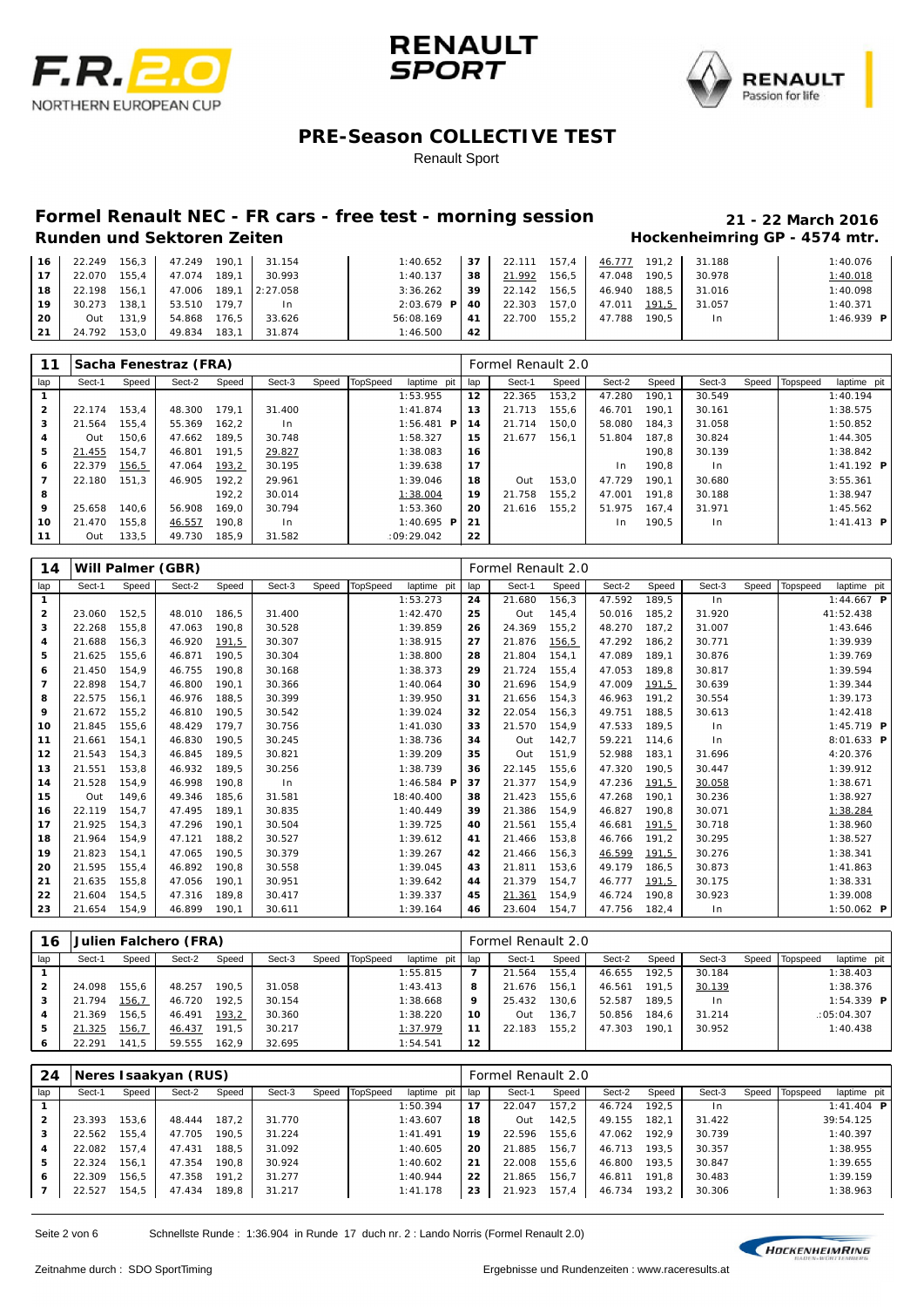





Renault Sport

# **Formel Renault NEC - FR cars - free test - morning session 21 - 22 March 2016**

### **Hockenheimring GP - 4574 mtr.**

| 16  | 22.249 | $156.3$   | 47.249 | 190.1 | 31.154   | 1:40.652           | 37 | 22.111 | 157.4 | 46.777 | 191.2 | 31.188 | 1:40.076          |
|-----|--------|-----------|--------|-------|----------|--------------------|----|--------|-------|--------|-------|--------|-------------------|
| 17  | 22.070 | 155.4     | 47.074 | 189.1 | 30.993   | 1:40.137           | 38 | 21.992 | 156.5 | 47.048 | 190.5 | 30.978 | 1:40.018          |
| 18  | 22.198 | 156.1     | 47.006 | 189.1 | 2:27.058 | 3:36.262           | 39 | 22.142 | 156.5 | 46.940 | 188.5 | 31.016 | 1:40.098          |
| 19  | 30.273 | 138.1     | 53.510 | 179.7 | $\ln$    | $2:03.679$ P $140$ |    | 22.303 | 157.0 | 47.011 | 191,5 | 31.057 | 1:40.371          |
| 20  | Out    | $131.9$ 1 | 54.868 | 176.5 | 33.626   | 56:08.169          | 41 | 22.700 | 155.2 | 47.788 | 190.5 | In.    | 1:46.939 <b>P</b> |
| -21 | 24.792 | 153,0     | 49.834 | 183.1 | 31.874   | 1:46.500           | 42 |        |       |        |       |        |                   |

|                |        |       | Sacha Fenestraz (FRA) |       |        |       |          |               |     | Formel Renault 2.0 |       |        |       |                |       |          |                      |
|----------------|--------|-------|-----------------------|-------|--------|-------|----------|---------------|-----|--------------------|-------|--------|-------|----------------|-------|----------|----------------------|
| lap            | Sect-1 | Speed | Sect-2                | Speed | Sect-3 | Speed | TopSpeed | laptime pit   | lap | Sect-1             | Speed | Sect-2 | Speed | Sect-3         | Speed | Topspeed | laptime pit          |
|                |        |       |                       |       |        |       |          | 1:53.955      | 12  | 22.365             | 153.2 | 47.280 | 190.1 | 30.549         |       |          | 1:40.194             |
| $\overline{2}$ | 22.174 | 153.4 | 48.300                | 179.1 | 31.400 |       |          | 1:41.874      | 13  | 21.713             | 155.6 | 46.701 | 190.1 | 30.161         |       |          | 1:38.575             |
| 3              | 21.564 | 155.4 | 55.369                | 162.2 | In.    |       |          | 1:56.481<br>P | 14  | 21.714             | 150.0 | 58.080 | 184.3 | 31.058         |       |          | 1:50.852             |
| 4              | Out    | 150.6 | 47.662                | 189.5 | 30.748 |       |          | 1:58.327      | 15  | 21.677             | 156.1 | 51.804 | 187.8 | 30.824         |       |          | 1:44.305             |
| 5              | 21.455 | 154.7 | 46.801                | 191.5 | 29.827 |       |          | 1:38.083      | 16  |                    |       |        | 190.8 | 30.139         |       |          | 1:38.842             |
| 6              | 22.379 | 156,5 | 47.064                | 193,2 | 30.195 |       |          | 1:39.638      | 17  |                    |       | In.    | 190.8 | ln             |       |          | $1:41.192$ <b>P</b>  |
|                | 22.180 | 151.3 | 46.905                | 192.2 | 29.961 |       |          | 1:39.046      | 18  | Out                | 153.0 | 47.729 | 190.1 | 30.680         |       |          | 3:55.361             |
| 8              |        |       |                       | 192.2 | 30.014 |       |          | 1:38.004      | 19  | 21.758             | 155.2 | 47.001 | 191.8 | 30.188         |       |          | 1:38.947             |
| 9              | 25.658 | 140.6 | 56.908                | 169.0 | 30.794 |       |          | 1:53.360      | 20  | 21.616             | 155.2 | 51.975 | 167.4 | 31.971         |       |          | 1:45.562             |
| 10             | 21.470 | 155,8 | 46.557                | 190.8 | In.    |       |          | 1:40.695<br>P | 21  |                    |       | In.    | 190.5 | 1 <sub>n</sub> |       |          | $1: 41.413$ <b>P</b> |
| 11             | Out    | 133.5 | 49.730                | 185.9 | 31.582 |       |          | :09:29.042    | 22  |                    |       |        |       |                |       |          |                      |

| 14                      |        |       | Will Palmer (GBR) |       |        |       |                 |              |     | Formel Renault 2.0 |       |        |       |        |       |          |                     |
|-------------------------|--------|-------|-------------------|-------|--------|-------|-----------------|--------------|-----|--------------------|-------|--------|-------|--------|-------|----------|---------------------|
| lap                     | Sect-1 | Speed | Sect-2            | Speed | Sect-3 | Speed | <b>TopSpeed</b> | laptime pit  | lap | Sect-1             | Speed | Sect-2 | Speed | Sect-3 | Speed | Topspeed | laptime pit         |
| $\mathbf{1}$            |        |       |                   |       |        |       |                 | 1:53.273     | 24  | 21.680             | 156,3 | 47.592 | 189.5 | In     |       |          | 1:44.667 <b>P</b>   |
| $\overline{\mathbf{2}}$ | 23.060 | 152,5 | 48.010            | 186,5 | 31.400 |       |                 | 1:42.470     | 25  | Out                | 145,4 | 50.016 | 185,2 | 31.920 |       |          | 41:52.438           |
| 3                       | 22.268 | 155,8 | 47.063            | 190.8 | 30.528 |       |                 | 1:39.859     | 26  | 24.369             | 155,2 | 48.270 | 187.2 | 31.007 |       |          | 1:43.646            |
| 4                       | 21.688 | 156.3 | 46.920            | 191,5 | 30.307 |       |                 | 1:38.915     | 27  | 21.876             | 156,5 | 47.292 | 186.2 | 30.771 |       |          | 1:39.939            |
| 5                       | 21.625 | 155,6 | 46.871            | 190,5 | 30.304 |       |                 | 1:38.800     | 28  | 21.804             | 154,1 | 47.089 | 189,1 | 30.876 |       |          | 1:39.769            |
| 6                       | 21.450 | 154,9 | 46.755            | 190.8 | 30.168 |       |                 | 1:38.373     | 29  | 21.724             | 155,4 | 47.053 | 189,8 | 30.817 |       |          | 1:39.594            |
| $\overline{7}$          | 22.898 | 154,7 | 46.800            | 190.1 | 30.366 |       |                 | 1:40.064     | 30  | 21.696             | 154,9 | 47.009 | 191,5 | 30.639 |       |          | 1:39.344            |
| 8                       | 22.575 | 156.1 | 46.976            | 188.5 | 30.399 |       |                 | 1:39.950     | 31  | 21.656             | 154,3 | 46.963 | 191.2 | 30.554 |       |          | 1:39.173            |
| 9                       | 21.672 | 155,2 | 46.810            | 190,5 | 30.542 |       |                 | 1:39.024     | 32  | 22.054             | 156,3 | 49.751 | 188,5 | 30.613 |       |          | 1:42.418            |
| 10                      | 21.845 | 155,6 | 48.429            | 179.7 | 30.756 |       |                 | 1:41.030     | 33  | 21.570             | 154,9 | 47.533 | 189.5 | In     |       |          | $1:45.719$ <b>P</b> |
| 11                      | 21.661 | 154,1 | 46.830            | 190,5 | 30.245 |       |                 | 1:38.736     | 34  | Out                | 142,7 | 59.221 | 114,6 | ln     |       |          | $8:01.633$ P        |
| 12                      | 21.543 | 154,3 | 46.845            | 189.5 | 30.821 |       |                 | 1:39.209     | 35  | Out                | 151.9 | 52.988 | 183.1 | 31.696 |       |          | 4:20.376            |
| 13                      | 21.551 | 153,8 | 46.932            | 189,5 | 30.256 |       |                 | 1:38.739     | 36  | 22.145             | 155,6 | 47.320 | 190,5 | 30.447 |       |          | 1:39.912            |
| 14                      | 21.528 | 154,9 | 46.998            | 190.8 | ln     |       |                 | 1:46.584 $P$ | 37  | 21.377             | 154,9 | 47.236 | 191,5 | 30.058 |       |          | 1:38.671            |
| 15                      | Out    | 149,6 | 49.346            | 185.6 | 31.581 |       |                 | 18:40.400    | 38  | 21.423             | 155,6 | 47.268 | 190.1 | 30.236 |       |          | 1:38.927            |
| 16                      | 22.119 | 154,7 | 47.495            | 189.1 | 30.835 |       |                 | 1:40.449     | 39  | 21.386             | 154.9 | 46.827 | 190.8 | 30.071 |       |          | 1:38.284            |
| 17                      | 21.925 | 154,3 | 47.296            | 190.1 | 30.504 |       |                 | 1:39.725     | 40  | 21.561             | 155,4 | 46.681 | 191,5 | 30.718 |       |          | 1:38.960            |
| 18                      | 21.964 | 154,9 | 47.121            | 188.2 | 30.527 |       |                 | 1:39.612     | 41  | 21.466             | 153,8 | 46.766 | 191,2 | 30.295 |       |          | 1:38.527            |
| 19                      | 21.823 | 154,1 | 47.065            | 190.5 | 30.379 |       |                 | 1:39.267     | 42  | 21.466             | 156,3 | 46.599 | 191,5 | 30.276 |       |          | 1:38.341            |
| 20                      | 21.595 | 155.4 | 46.892            | 190.8 | 30.558 |       |                 | 1:39.045     | 43  | 21.811             | 153.6 | 49.179 | 186.5 | 30.873 |       |          | 1:41.863            |
| 21                      | 21.635 | 155,8 | 47.056            | 190,1 | 30.951 |       |                 | 1:39.642     | 44  | 21.379             | 154,7 | 46.777 | 191,5 | 30.175 |       |          | 1:38.331            |
| 22                      | 21.604 | 154,5 | 47.316            | 189.8 | 30.417 |       |                 | 1:39.337     | 45  | 21.361             | 154,9 | 46.724 | 190.8 | 30.923 |       |          | 1:39.008            |
| 23                      | 21.654 | 154,9 | 46.899            | 190.1 | 30.611 |       |                 | 1:39.164     | 46  | 23.604             | 154,7 | 47.756 | 182.4 | In     |       |          | 1:50.062 $P$        |

| 16  |        |              | Julien Falchero (FRA) |       |        |                |             |                 | Formel Renault 2.0 |       |        |       |                |       |          |                   |  |
|-----|--------|--------------|-----------------------|-------|--------|----------------|-------------|-----------------|--------------------|-------|--------|-------|----------------|-------|----------|-------------------|--|
| lap | Sect-1 | Speed        | Sect-2                | Speed | Sect-3 | Speed TopSpeed | laptime pit | lap             | Sect-1             | Speed | Sect-2 | Speed | Sect-3         | Speed | Topspeed | laptime pit       |  |
|     |        |              |                       |       |        |                | 1:55.815    |                 | 21.564             | 155.4 | 46.655 | 192.5 | 30.184         |       |          | 1:38.403          |  |
| 2   | 24.098 | 155.6        | 48.257                | 190.5 | 31.058 |                | 1:43.413    | 8               | 21.676             | 156.1 | 46.561 | 191.5 | 30.139         |       |          | 1:38.376          |  |
| 3   | 21.794 | 156,7        | 46.720                | 192.5 | 30.154 |                | 1:38.668    | 9               | 25.432             | 130.6 | 52.587 | 189.5 | 1 <sub>n</sub> |       |          | 1:54.339 <b>P</b> |  |
|     | 21.369 | 156.5        | 46.491                | 193,2 | 30.360 |                | 1:38.220    | 10              | Out                | 136.7 | 50.856 | 184,6 | 31.214         |       |          | :05:04.307        |  |
| 5   | 21.325 | <u>156,7</u> | 46.437                | 191.5 | 30.217 |                | 1:37.979    | 11              | 22.183             | 155.2 | 47.303 | 190.1 | 30.952         |       |          | 1:40.438          |  |
| 6   | 22.291 | 141.5        | 59.555                | 162.9 | 32.695 |                | 1:54.541    | 12 <sub>1</sub> |                    |       |        |       |                |       |          |                   |  |

| 24           |        |       | Neres I saakyan (RUS) |       |        |       |                 |             |     | Formel Renault 2.0 |       |        |       |        |       |          |                   |  |
|--------------|--------|-------|-----------------------|-------|--------|-------|-----------------|-------------|-----|--------------------|-------|--------|-------|--------|-------|----------|-------------------|--|
| lap          | Sect-1 | Speed | Sect-2                | Speed | Sect-3 | Speed | <b>TopSpeed</b> | laptime pit | lap | Sect-1             | Speed | Sect-2 | Speed | Sect-3 | Speed | Topspeed | laptime pit       |  |
|              |        |       |                       |       |        |       |                 | 1:50.394    | 17  | 22.047             | 157.2 | 46.724 | 192.5 | I n    |       |          | 1:41.404 <b>P</b> |  |
| $\mathbf{2}$ | 23.393 | 153.6 | 48.444                | 187.2 | 31.770 |       |                 | 1:43.607    | 18  | Out                | 142.5 | 49.155 | 182.1 | 31.422 |       |          | 39:54.125         |  |
| з            | 22.562 | 155.4 | 47.705                | 190.5 | 31.224 |       |                 | 1: 41.491   | 19  | 22.596             | 155.6 | 47.062 | 192.9 | 30.739 |       |          | 1:40.397          |  |
| 4            | 22.082 | 157.4 | 47.431                | 188.5 | 31.092 |       |                 | 1:40.605    | 20  | 21.885             | 156.7 | 46.713 | 193.5 | 30.357 |       |          | 1:38.955          |  |
| 5            | 22.324 | 156.1 | 47.354                | 190.8 | 30.924 |       |                 | 1:40.602    | 21  | 22.008             | 155.6 | 46.800 | 193.5 | 30.847 |       |          | 1:39.655          |  |
| 6            | 22.309 | 156.5 | 47.358                | 191.2 | 31.277 |       |                 | 1:40.944    | 22  | 21.865             | 156.7 | 46.811 | 191.8 | 30.483 |       |          | 1:39.159          |  |
|              | 22.527 | 154,5 | 47.434                | 189.8 | 31.217 |       |                 | 1:41.178    | 23  | 21.923             | 157,4 | 46.734 | 193,2 | 30.306 |       |          | 1:38.963          |  |

Seite 2 von 6 Schnellste Runde : 1:36.904 in Runde 17 duch nr. 2 : Lando Norris (Formel Renault 2.0)

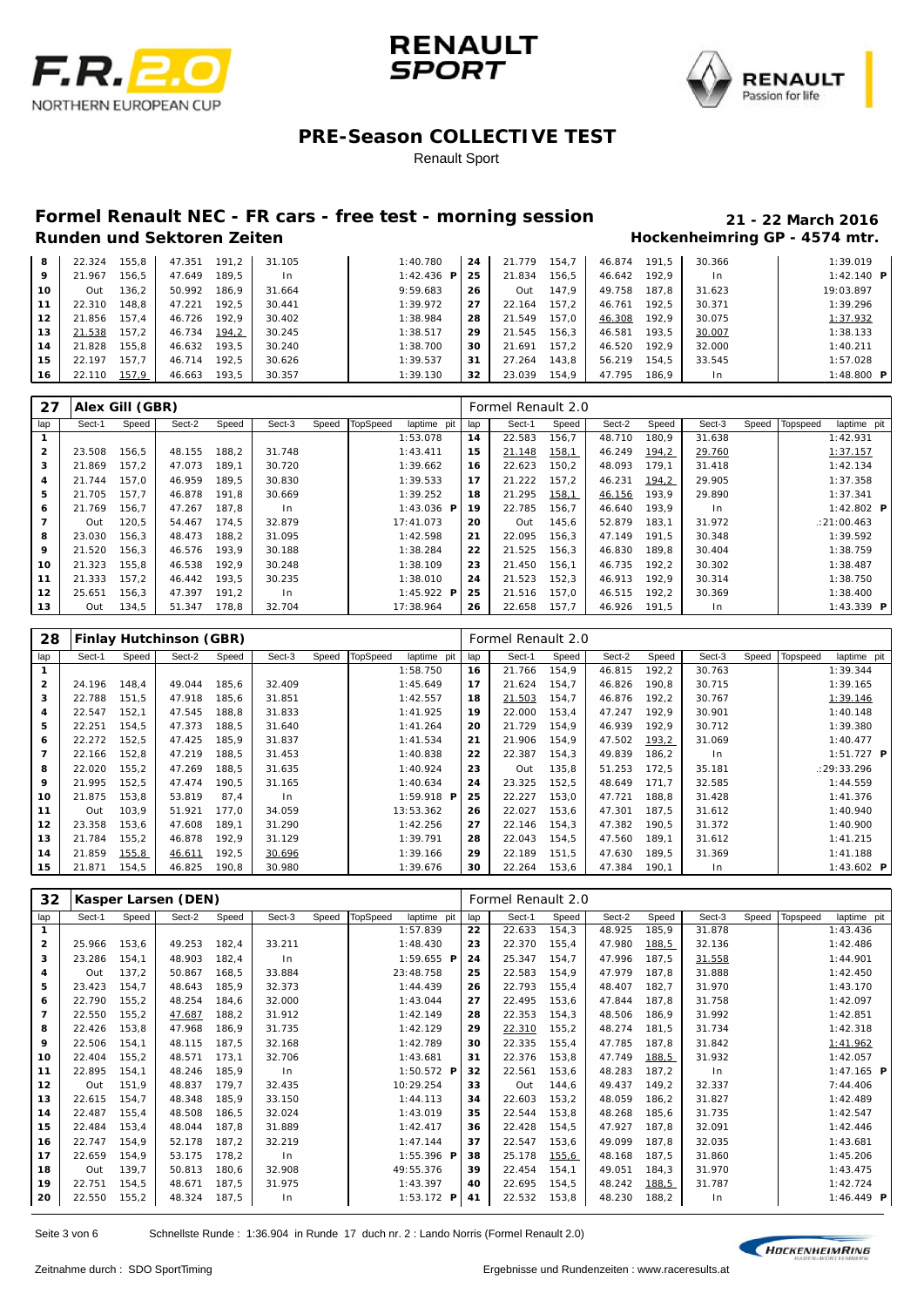





Renault Sport

# **Formel Renault NEC - FR cars - free test - morning session 21 - 22 March 2016**

### **Hockenheimring GP - 4574 mtr.**

| 8  | 22.324 | 155.8 | 47.351 | 191.2 | 31.105 | 1:40.780      | 24 | 21.779 | 154.7 | 46.874 | 191.5 | 30.366         | 1:39.019     |
|----|--------|-------|--------|-------|--------|---------------|----|--------|-------|--------|-------|----------------|--------------|
| 9  | 21.967 | 156.5 | 47.649 | 189.5 | In.    | 1:42.436<br>P | 25 | 21.834 | 156.5 | 46.642 | 192.9 | 1 <sub>n</sub> | 1:42.140 $P$ |
| 10 | Out    | 136,2 | 50.992 | 186.9 | 31.664 | 9:59.683      | 26 | Out    | 147.9 | 49.758 | 187.8 | 31.623         | 19:03.897    |
| 11 | 22.310 | 148.8 | 47.221 | 192.5 | 30.441 | 1:39.972      | 27 | 22.164 | 157.2 | 46.761 | 192.5 | 30.371         | 1:39.296     |
| 12 | 21.856 | 157.4 | 46.726 | 192.9 | 30.402 | 1:38.984      | 28 | 21.549 | 157.0 | 46.308 | 192.9 | 30.075         | 1:37.932     |
| 13 | 21.538 | 157,2 | 46.734 | 194,2 | 30.245 | 1:38.517      | 29 | 21.545 | 156,3 | 46.581 | 193.5 | 30.007         | 1:38.133     |
| 14 | 21.828 | 155.8 | 46.632 | 193.5 | 30.240 | 1:38.700      | 30 | 21.691 | 157.2 | 46.520 | 192.9 | 32.000         | 1:40.211     |
| 15 | 22.197 | 157.7 | 46.714 | 192.5 | 30.626 | 1:39.537      | 31 | 27.264 | 143.8 | 56.219 | 154.5 | 33.545         | 1:57.028     |
| 16 | 22.110 | 157,9 | 46.663 | 193.5 | 30.357 | 1:39.130      | 32 | 23.039 | 154.9 | 47.795 | 186.9 | In.            | 1:48.800 $P$ |

| 27           |        | Alex Gill (GBR) |        |       |        |       |                 |                   |     | Formel Renault 2.0 |       |        |       |        |       |          |                         |  |
|--------------|--------|-----------------|--------|-------|--------|-------|-----------------|-------------------|-----|--------------------|-------|--------|-------|--------|-------|----------|-------------------------|--|
| lap          | Sect-1 | Speed           | Sect-2 | Speed | Sect-3 | Speed | <b>TopSpeed</b> | laptime pit       | lap | Sect-1             | Speed | Sect-2 | Speed | Sect-3 | Speed | Topspeed | laptime pit             |  |
|              |        |                 |        |       |        |       |                 | 1:53.078          | 14  | 22.583             | 156,7 | 48.710 | 180.9 | 31.638 |       |          | 1:42.931                |  |
| $\mathbf{2}$ | 23.508 | 156,5           | 48.155 | 188,2 | 31.748 |       |                 | 1:43.411          | 15  | 21.148             | 158,1 | 46.249 | 194.2 | 29.760 |       |          | 1:37.157                |  |
| 3            | 21.869 | 157.2           | 47.073 | 189.1 | 30.720 |       |                 | 1:39.662          | 16  | 22.623             | 150,2 | 48.093 | 179.1 | 31.418 |       |          | 1:42.134                |  |
| 4            | 21.744 | 157.0           | 46.959 | 189.5 | 30.830 |       |                 | 1:39.533          | 17  | 21.222             | 157.2 | 46.231 | 194,2 | 29.905 |       |          | 1:37.358                |  |
| 5            | 21.705 | 157.7           | 46.878 | 191.8 | 30.669 |       |                 | 1:39.252          | 18  | 21.295             | 158,1 | 46.156 | 193.9 | 29.890 |       |          | 1:37.341                |  |
| 6            | 21.769 | 156,7           | 47.267 | 187.8 | In.    |       |                 | 1:43.036 <b>P</b> | 19  | 22.785             | 156.7 | 46.640 | 193.9 | $\ln$  |       |          | 1:42.802 $\blacksquare$ |  |
| 7            | Out    | 120,5           | 54.467 | 174.5 | 32.879 |       |                 | 17:41.073         | 20  | Out                | 145,6 | 52.879 | 183.1 | 31.972 |       |          | : 21:00.463             |  |
| 8            | 23.030 | 156.3           | 48.473 | 188.2 | 31.095 |       |                 | 1:42.598          | 21  | 22.095             | 156.3 | 47.149 | 191.5 | 30.348 |       |          | 1:39.592                |  |
| 9            | 21.520 | 156,3           | 46.576 | 193.9 | 30.188 |       |                 | 1:38.284          | 22  | 21.525             | 156.3 | 46.830 | 189.8 | 30.404 |       |          | 1:38.759                |  |
| 10           | 21.323 | 155.8           | 46.538 | 192.9 | 30.248 |       |                 | 1:38.109          | 23  | 21.450             | 156.1 | 46.735 | 192.2 | 30.302 |       |          | 1:38.487                |  |
| 11           | 21.333 | 157.2           | 46.442 | 193.5 | 30.235 |       |                 | 1:38.010          | 24  | 21.523             | 152,3 | 46.913 | 192.9 | 30.314 |       |          | 1:38.750                |  |
| 12           | 25.651 | 156,3           | 47.397 | 191.2 | In.    |       |                 | 1:45.922 <b>P</b> | 25  | 21.516             | 157.0 | 46.515 | 192.2 | 30.369 |       |          | 1:38.400                |  |
| 13           | Out    | 134,5           | 51.347 | 178.8 | 32.704 |       |                 | 17:38.964         | 26  | 22.658             | 157.7 | 46.926 | 191.5 | $\ln$  |       |          | 1:43.339 $P$            |  |

| 28             |        |       | Finlay Hutchinson (GBR) |       |                |       |                 |              |     | Formel Renault 2.0 |       |        |        |        |       |          |              |
|----------------|--------|-------|-------------------------|-------|----------------|-------|-----------------|--------------|-----|--------------------|-------|--------|--------|--------|-------|----------|--------------|
| lap            | Sect-1 | Speed | Sect-2                  | Speed | Sect-3         | Speed | <b>TopSpeed</b> | laptime pit  | lap | Sect-1             | Speed | Sect-2 | Speed  | Sect-3 | Speed | Topspeed | laptime pit  |
|                |        |       |                         |       |                |       |                 | 1:58.750     | 16  | 21.766             | 154,9 | 46.815 | 192,2  | 30.763 |       |          | 1:39.344     |
| $\overline{2}$ | 24.196 | 148,4 | 49.044                  | 185,6 | 32.409         |       |                 | 1:45.649     | 17  | 21.624             | 154,7 | 46.826 | 190,8  | 30.715 |       |          | 1:39.165     |
| 3              | 22.788 | 151,5 | 47.918                  | 185,6 | 31.851         |       |                 | 1:42.557     | 18  | 21.503             | 154,7 | 46.876 | 192,2  | 30.767 |       |          | 1:39.146     |
| 4              | 22.547 | 152,1 | 47.545                  | 188,8 | 31.833         |       |                 | 1:41.925     | 19  | 22.000             | 153,4 | 47.247 | 192.9  | 30.901 |       |          | 1:40.148     |
| 5              | 22.251 | 154,5 | 47.373                  | 188,5 | 31.640         |       |                 | 1: 41.264    | 20  | 21.729             | 154,9 | 46.939 | 192,9  | 30.712 |       |          | 1:39.380     |
| 6              | 22.272 | 152,5 | 47.425                  | 185,9 | 31.837         |       |                 | 1:41.534     | 21  | 21.906             | 154,9 | 47.502 | 193, 2 | 31.069 |       |          | 1:40.477     |
| $\overline{7}$ | 22.166 | 152.8 | 47.219                  | 188.5 | 31.453         |       |                 | 1:40.838     | 22  | 22.387             | 154.3 | 49.839 | 186.2  | ln     |       |          | $1:51.727$ P |
| 8              | 22.020 | 155,2 | 47.269                  | 188,5 | 31.635         |       |                 | 1:40.924     | 23  | Out                | 135,8 | 51.253 | 172,5  | 35.181 |       |          | : 29: 33.296 |
| 9              | 21.995 | 152,5 | 47.474                  | 190.5 | 31.165         |       |                 | 1:40.634     | 24  | 23.325             | 152,5 | 48.649 | 171.7  | 32.585 |       |          | 1:44.559     |
| 10             | 21.875 | 153.8 | 53.819                  | 87.4  | 1 <sub>n</sub> |       |                 | $1:59.918$ P | 25  | 22.227             | 153.0 | 47.721 | 188.8  | 31.428 |       |          | 1:41.376     |
| 11             | Out    | 103,9 | 51.921                  | 177,0 | 34.059         |       |                 | 13:53.362    | 26  | 22.027             | 153,6 | 47.301 | 187,5  | 31.612 |       |          | 1:40.940     |
| 12             | 23.358 | 153.6 | 47.608                  | 189.1 | 31.290         |       |                 | 1:42.256     | 27  | 22.146             | 154.3 | 47.382 | 190.5  | 31.372 |       |          | 1:40.900     |
| 13             | 21.784 | 155,2 | 46.878                  | 192,9 | 31.129         |       |                 | 1:39.791     | 28  | 22.043             | 154,5 | 47.560 | 189.1  | 31.612 |       |          | 1:41.215     |
| 14             | 21.859 | 155,8 | 46.611                  | 192,5 | 30.696         |       |                 | 1:39.166     | 29  | 22.189             | 151,5 | 47.630 | 189.5  | 31.369 |       |          | 1:41.188     |
| 15             | 21.871 | 154,5 | 46.825                  | 190.8 | 30.980         |       |                 | 1:39.676     | 30  | 22.264             | 153,6 | 47.384 | 190.1  | ln     |       |          | 1:43.602 $P$ |

| 32             |        |       | Kasper Larsen (DEN) |       |        |       |                 |                     |     | Formel Renault 2.0 |       |        |       |        |       |          |                     |  |
|----------------|--------|-------|---------------------|-------|--------|-------|-----------------|---------------------|-----|--------------------|-------|--------|-------|--------|-------|----------|---------------------|--|
| lap            | Sect-1 | Speed | Sect-2              | Speed | Sect-3 | Speed | <b>TopSpeed</b> | laptime pit         | lap | Sect-1             | Speed | Sect-2 | Speed | Sect-3 | Speed | Topspeed | laptime pit         |  |
| $\mathbf{1}$   |        |       |                     |       |        |       |                 | 1:57.839            | 22  | 22.633             | 154,3 | 48.925 | 185,9 | 31.878 |       |          | 1:43.436            |  |
| $\overline{2}$ | 25.966 | 153,6 | 49.253              | 182,4 | 33.211 |       |                 | 1:48.430            | 23  | 22.370             | 155,4 | 47.980 | 188,5 | 32.136 |       |          | 1:42.486            |  |
| 3              | 23.286 | 154,1 | 48.903              | 182,4 | In     |       |                 | $1:59.655$ P        | 24  | 25.347             | 154,7 | 47.996 | 187,5 | 31.558 |       |          | 1:44.901            |  |
| 4              | Out    | 137,2 | 50.867              | 168,5 | 33.884 |       |                 | 23:48.758           | 25  | 22.583             | 154,9 | 47.979 | 187,8 | 31.888 |       |          | 1:42.450            |  |
| 5              | 23.423 | 154,7 | 48.643              | 185,9 | 32.373 |       |                 | 1:44.439            | 26  | 22.793             | 155,4 | 48.407 | 182,7 | 31.970 |       |          | 1:43.170            |  |
| 6              | 22.790 | 155,2 | 48.254              | 184,6 | 32.000 |       |                 | 1:43.044            | 27  | 22.495             | 153,6 | 47.844 | 187,8 | 31.758 |       |          | 1:42.097            |  |
| $\overline{7}$ | 22.550 | 155,2 | 47.687              | 188.2 | 31.912 |       |                 | 1:42.149            | 28  | 22.353             | 154,3 | 48.506 | 186.9 | 31.992 |       |          | 1:42.851            |  |
| 8              | 22.426 | 153,8 | 47.968              | 186,9 | 31.735 |       |                 | 1:42.129            | 29  | 22.310             | 155,2 | 48.274 | 181,5 | 31.734 |       |          | 1:42.318            |  |
| 9              | 22.506 | 154,1 | 48.115              | 187,5 | 32.168 |       |                 | 1:42.789            | 30  | 22.335             | 155,4 | 47.785 | 187,8 | 31.842 |       |          | 1:41.962            |  |
| 10             | 22.404 | 155,2 | 48.571              | 173.1 | 32.706 |       |                 | 1:43.681            | 31  | 22.376             | 153,8 | 47.749 | 188,5 | 31.932 |       |          | 1:42.057            |  |
| 11             | 22.895 | 154,1 | 48.246              | 185,9 | In     |       |                 | $1:50.572$ <b>P</b> | 32  | 22.561             | 153,6 | 48.283 | 187,2 | ln     |       |          | $1:47.165$ <b>P</b> |  |
| 12             | Out    | 151,9 | 48.837              | 179.7 | 32.435 |       |                 | 10:29.254           | 33  | Out                | 144,6 | 49.437 | 149,2 | 32.337 |       |          | 7:44.406            |  |
| 13             | 22.615 | 154,7 | 48.348              | 185,9 | 33.150 |       |                 | 1:44.113            | 34  | 22.603             | 153,2 | 48.059 | 186.2 | 31.827 |       |          | 1:42.489            |  |
| 14             | 22.487 | 155,4 | 48.508              | 186,5 | 32.024 |       |                 | 1:43.019            | 35  | 22.544             | 153,8 | 48.268 | 185,6 | 31.735 |       |          | 1:42.547            |  |
| 15             | 22.484 | 153,4 | 48.044              | 187,8 | 31.889 |       |                 | 1:42.417            | 36  | 22.428             | 154,5 | 47.927 | 187.8 | 32.091 |       |          | 1:42.446            |  |
| 16             | 22.747 | 154,9 | 52.178              | 187,2 | 32.219 |       |                 | 1:47.144            | 37  | 22.547             | 153,6 | 49.099 | 187,8 | 32.035 |       |          | 1:43.681            |  |
| 17             | 22.659 | 154,9 | 53.175              | 178.2 | In.    |       |                 | $1:55.396$ <b>P</b> | 38  | 25.178             | 155,6 | 48.168 | 187,5 | 31.860 |       |          | 1:45.206            |  |
| 18             | Out    | 139,7 | 50.813              | 180,6 | 32.908 |       |                 | 49:55.376           | 39  | 22.454             | 154,1 | 49.051 | 184,3 | 31.970 |       |          | 1:43.475            |  |
| 19             | 22.751 | 154,5 | 48.671              | 187,5 | 31.975 |       |                 | 1:43.397            | 40  | 22.695             | 154,5 | 48.242 | 188,5 | 31.787 |       |          | 1:42.724            |  |
| 20             | 22.550 | 155,2 | 48.324              | 187,5 | In.    |       |                 | 1:53.172 $P$        | 41  | 22.532             | 153,8 | 48.230 | 188,2 | ln     |       |          | 1:46.449 <b>P</b>   |  |

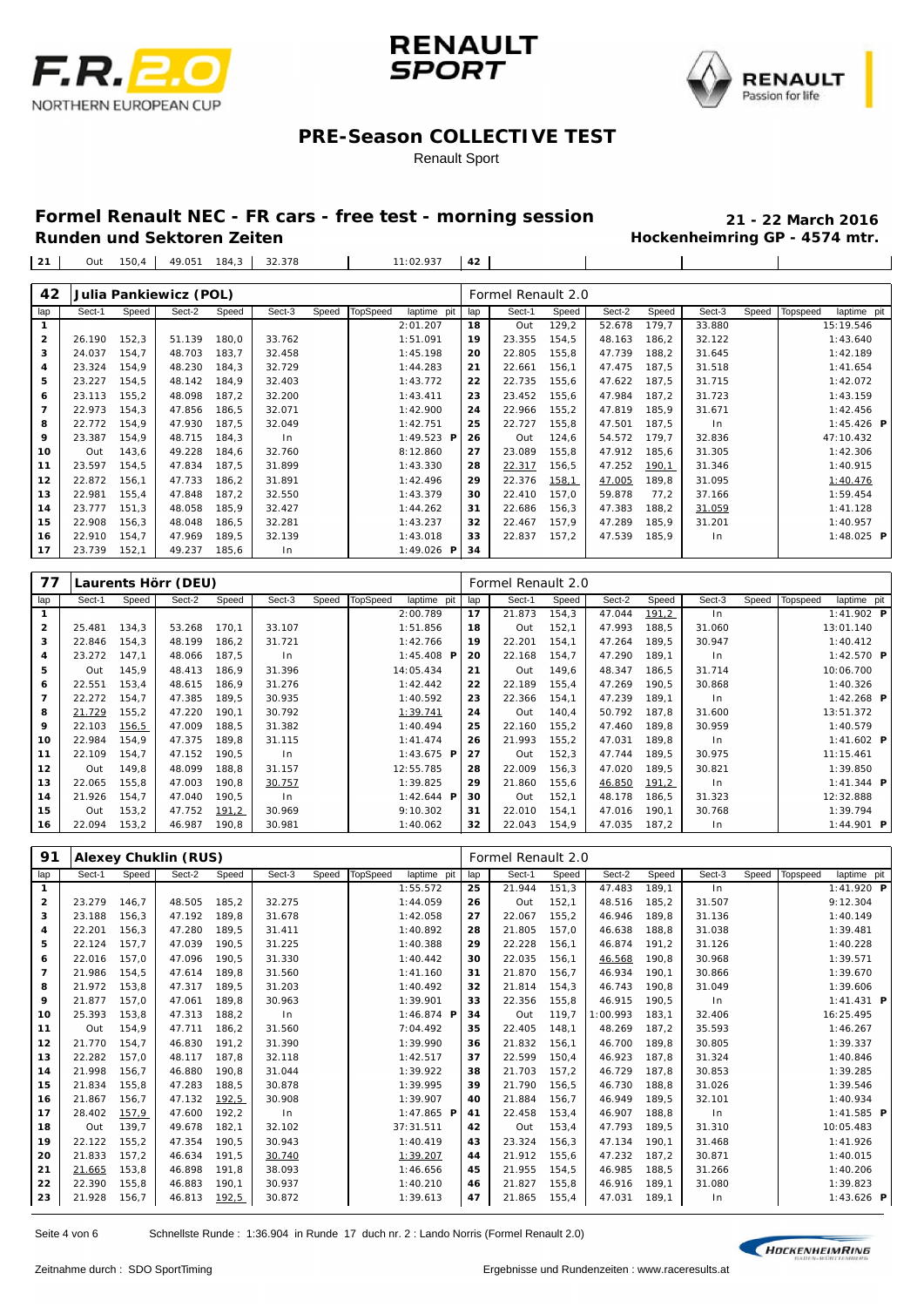





#### Renault Sport

## **Formel Renault NEC - FR cars - free test - morning session 21 - 22 March 2016**

**Hockenheimring GP - 4574 mtr.** 

 $\overline{1}$ 

| 21 | Out 150,4 | 49.051 184,3 | 32.378 | 11:02.937 | 42 |

|                |        |       | Julia Pankiewicz (POL) |       |        |       |                 |                   |     | Formel Renault 2.0 |       |        |       |        |       |                         |
|----------------|--------|-------|------------------------|-------|--------|-------|-----------------|-------------------|-----|--------------------|-------|--------|-------|--------|-------|-------------------------|
| 42<br>lap      | Sect-1 | Speed | Sect-2                 | Speed | Sect-3 | Speed | <b>TopSpeed</b> | laptime pit       | lap | Sect-1             | Speed | Sect-2 | Speed | Sect-3 | Speed | Topspeed<br>laptime pit |
| $\mathbf{1}$   |        |       |                        |       |        |       |                 | 2:01.207          | 18  | Out                | 129,2 | 52.678 | 179.7 | 33.880 |       | 15:19.546               |
| $\overline{2}$ | 26.190 | 152,3 | 51.139                 | 180.0 | 33.762 |       |                 | 1:51.091          | 19  | 23.355             | 154.5 | 48.163 | 186.2 | 32.122 |       | 1:43.640                |
| 3              | 24.037 | 154,7 | 48.703                 | 183,7 | 32.458 |       |                 | 1:45.198          | 20  | 22.805             | 155,8 | 47.739 | 188,2 | 31.645 |       | 1:42.189                |
| 4              | 23.324 | 154,9 | 48.230                 | 184,3 | 32.729 |       |                 | 1:44.283          | 21  | 22.661             | 156,1 | 47.475 | 187,5 | 31.518 |       | 1:41.654                |
|                |        |       |                        |       |        |       |                 |                   | 22  |                    |       |        |       |        |       |                         |
| 5              | 23.227 | 154,5 | 48.142                 | 184,9 | 32.403 |       |                 | 1:43.772          |     | 22.735             | 155,6 | 47.622 | 187,5 | 31.715 |       | 1:42.072                |
| 6              | 23.113 | 155,2 | 48.098                 | 187,2 | 32.200 |       |                 | 1:43.411          | 23  | 23.452             | 155,6 | 47.984 | 187,2 | 31.723 |       | 1:43.159                |
| $\overline{7}$ | 22.973 | 154,3 | 47.856                 | 186,5 | 32.071 |       |                 | 1:42.900          | 24  | 22.966             | 155,2 | 47.819 | 185,9 | 31.671 |       | 1:42.456                |
| 8              | 22.772 | 154,9 | 47.930                 | 187,5 | 32.049 |       |                 | 1:42.751          | 25  | 22.727             | 155,8 | 47.501 | 187.5 | In     |       | $1:45.426$ <b>P</b>     |
| 9              | 23.387 | 154,9 | 48.715                 | 184,3 | In     |       |                 | 1:49.523 $P$      | 26  | Out                | 124,6 | 54.572 | 179.7 | 32.836 |       | 47:10.432               |
| 10             | Out    | 143,6 | 49.228                 | 184.6 | 32.760 |       |                 | 8:12.860          | 27  | 23.089             | 155,8 | 47.912 | 185,6 | 31.305 |       | 1:42.306                |
| 11             | 23.597 | 154,5 | 47.834                 | 187,5 | 31.899 |       |                 | 1:43.330          | 28  | 22.317             | 156,5 | 47.252 | 190,1 | 31.346 |       | 1:40.915                |
| $12$           | 22.872 | 156,1 | 47.733                 | 186,2 | 31.891 |       |                 | 1:42.496          | 29  | 22.376             | 158,1 | 47.005 | 189,8 | 31.095 |       | 1:40.476                |
| 13             | 22.981 | 155,4 | 47.848                 | 187,2 | 32.550 |       |                 | 1:43.379          | 30  | 22.410             | 157,0 | 59.878 | 77,2  | 37.166 |       | 1:59.454                |
| 14             | 23.777 | 151,3 | 48.058                 | 185,9 | 32.427 |       |                 | 1:44.262          | 31  | 22.686             | 156,3 | 47.383 | 188,2 | 31.059 |       | 1:41.128                |
| 15             | 22.908 | 156,3 | 48.048                 | 186,5 | 32.281 |       |                 | 1:43.237          | 32  | 22.467             | 157,9 | 47.289 | 185,9 | 31.201 |       | 1:40.957                |
| 16             | 22.910 | 154,7 | 47.969                 | 189,5 | 32.139 |       |                 | 1:43.018          | 33  | 22.837             | 157,2 | 47.539 | 185,9 | In     |       | 1:48.025 $P$            |
| 17             | 23.739 | 152,1 | 49.237                 | 185,6 | $\ln$  |       |                 | 1:49.026 <b>P</b> | 34  |                    |       |        |       |        |       |                         |

| 77             |        |        | Laurents Hörr (DEU) |        |        |       |          |                   |     | Formel Renault 2.0 |       |        |       |        |       |          |                   |  |
|----------------|--------|--------|---------------------|--------|--------|-------|----------|-------------------|-----|--------------------|-------|--------|-------|--------|-------|----------|-------------------|--|
| lap            | Sect-1 | Speed  | Sect-2              | Speed  | Sect-3 | Speed | TopSpeed | laptime pit       | lap | Sect-1             | Speed | Sect-2 | Speed | Sect-3 | Speed | Topspeed | laptime pit       |  |
|                |        |        |                     |        |        |       |          | 2:00.789          | 17  | 21.873             | 154.3 | 47.044 | 191,2 | $\ln$  |       |          | 1:41.902 <b>P</b> |  |
| $\overline{2}$ | 25.481 | 134,3  | 53.268              | 170.1  | 33.107 |       |          | 1:51.856          | 18  | Out                | 152,1 | 47.993 | 188.5 | 31.060 |       |          | 13:01.140         |  |
| 3              | 22.846 | 154,3  | 48.199              | 186,2  | 31.721 |       |          | 1:42.766          | 19  | 22.201             | 154,1 | 47.264 | 189,5 | 30.947 |       |          | 1:40.412          |  |
| 4              | 23.272 | 147.1  | 48.066              | 187,5  | In     |       |          | 1:45.408 <b>P</b> | 20  | 22.168             | 154,7 | 47.290 | 189.1 | In     |       |          | 1:42.570 $P$      |  |
| 5              | Out    | 145,9  | 48.413              | 186,9  | 31.396 |       |          | 14:05.434         | 21  | Out                | 149,6 | 48.347 | 186,5 | 31.714 |       |          | 10:06.700         |  |
| 6              | 22.551 | 153,4  | 48.615              | 186,9  | 31.276 |       |          | 1:42.442          | 22  | 22.189             | 155,4 | 47.269 | 190,5 | 30.868 |       |          | 1:40.326          |  |
| 7              | 22.272 | 154,7  | 47.385              | 189,5  | 30.935 |       |          | 1:40.592          | 23  | 22.366             | 154,1 | 47.239 | 189.1 | In     |       |          | 1:42.268 $P$      |  |
| 8              | 21.729 | 155,2  | 47.220              | 190.1  | 30.792 |       |          | 1:39.741          | 24  | Out                | 140,4 | 50.792 | 187.8 | 31.600 |       |          | 13:51.372         |  |
| 9              | 22.103 | 156, 5 | 47.009              | 188,5  | 31.382 |       |          | 1:40.494          | 25  | 22.160             | 155,2 | 47.460 | 189.8 | 30.959 |       |          | 1:40.579          |  |
| 10             | 22.984 | 154,9  | 47.375              | 189,8  | 31.115 |       |          | 1:41.474          | 26  | 21.993             | 155,2 | 47.031 | 189.8 | $\ln$  |       |          | 1:41.602 $P$      |  |
| 11             | 22.109 | 154.7  | 47.152              | 190,5  | In     |       |          | 1:43.675 <b>P</b> | 27  | Out                | 152,3 | 47.744 | 189.5 | 30.975 |       |          | 11:15.461         |  |
| 12             | Out    | 149.8  | 48.099              | 188,8  | 31.157 |       |          | 12:55.785         | 28  | 22.009             | 156,3 | 47.020 | 189.5 | 30.821 |       |          | 1:39.850          |  |
| 13             | 22.065 | 155,8  | 47.003              | 190,8  | 30.757 |       |          | 1:39.825          | 29  | 21.860             | 155,6 | 46.850 | 191,2 | In     |       |          | 1:41.344 $P$      |  |
| 14             | 21.926 | 154,7  | 47.040              | 190,5  | $\ln$  |       |          | 1:42.644 <b>P</b> | 30  | Out                | 152,1 | 48.178 | 186,5 | 31.323 |       |          | 12:32.888         |  |
| 15             | Out    | 153,2  | 47.752              | 191, 2 | 30.969 |       |          | 9:10.302          | 31  | 22.010             | 154,1 | 47.016 | 190.1 | 30.768 |       |          | 1:39.794          |  |
| 16             | 22.094 | 153,2  | 46.987              | 190,8  | 30.981 |       |          | 1:40.062          | 32  | 22.043             | 154,9 | 47.035 | 187.2 | In     |       |          | 1:44.901 <b>P</b> |  |

| 91             |        |       | <b>Alexey Chuklin (RUS)</b> |       |        |       |                 |                         |     | Formel Renault 2.0 |       |          |       |        |       |          |                     |  |
|----------------|--------|-------|-----------------------------|-------|--------|-------|-----------------|-------------------------|-----|--------------------|-------|----------|-------|--------|-------|----------|---------------------|--|
| lap            | Sect-1 | Speed | Sect-2                      | Speed | Sect-3 | Speed | <b>TopSpeed</b> | laptime pit             | lap | Sect-1             | Speed | Sect-2   | Speed | Sect-3 | Speed | Topspeed | laptime pit         |  |
| 1              |        |       |                             |       |        |       |                 | 1:55.572                | 25  | 21.944             | 151.3 | 47.483   | 189.1 | ln     |       |          | 1:41.920 <b>P</b>   |  |
| $\mathbf{2}$   | 23.279 | 146,7 | 48.505                      | 185,2 | 32.275 |       |                 | 1:44.059                | 26  | Out                | 152,1 | 48.516   | 185,2 | 31.507 |       |          | 9:12.304            |  |
| 3              | 23.188 | 156,3 | 47.192                      | 189,8 | 31.678 |       |                 | 1:42.058                | 27  | 22.067             | 155,2 | 46.946   | 189,8 | 31.136 |       |          | 1:40.149            |  |
| 4              | 22.201 | 156,3 | 47.280                      | 189.5 | 31.411 |       |                 | 1:40.892                | 28  | 21.805             | 157.0 | 46.638   | 188.8 | 31.038 |       |          | 1:39.481            |  |
| 5              | 22.124 | 157,7 | 47.039                      | 190.5 | 31.225 |       |                 | 1:40.388                | 29  | 22.228             | 156.1 | 46.874   | 191.2 | 31.126 |       |          | 1:40.228            |  |
| 6              | 22.016 | 157.0 | 47.096                      | 190.5 | 31.330 |       |                 | 1:40.442                | 30  | 22.035             | 156.1 | 46.568   | 190.8 | 30.968 |       |          | 1:39.571            |  |
| $\overline{7}$ | 21.986 | 154,5 | 47.614                      | 189,8 | 31.560 |       |                 | 1:41.160                | 31  | 21.870             | 156,7 | 46.934   | 190,1 | 30.866 |       |          | 1:39.670            |  |
| 8              | 21.972 | 153,8 | 47.317                      | 189.5 | 31.203 |       |                 | 1:40.492                | 32  | 21.814             | 154,3 | 46.743   | 190.8 | 31.049 |       |          | 1:39.606            |  |
| 9              | 21.877 | 157,0 | 47.061                      | 189,8 | 30.963 |       |                 | 1:39.901                | 33  | 22.356             | 155,8 | 46.915   | 190.5 | In     |       |          | $1:41.431$ <b>P</b> |  |
| 10             | 25.393 | 153,8 | 47.313                      | 188.2 | $\ln$  |       |                 | 1:46.874 $\blacksquare$ | 34  | Out                | 119.7 | 1:00.993 | 183.1 | 32.406 |       |          | 16:25.495           |  |
| 11             | Out    | 154,9 | 47.711                      | 186,2 | 31.560 |       |                 | 7:04.492                | 35  | 22.405             | 148,1 | 48.269   | 187,2 | 35.593 |       |          | 1:46.267            |  |
| 12             | 21.770 | 154,7 | 46.830                      | 191,2 | 31.390 |       |                 | 1:39.990                | 36  | 21.832             | 156.1 | 46.700   | 189,8 | 30.805 |       |          | 1:39.337            |  |
| 13             | 22.282 | 157,0 | 48.117                      | 187.8 | 32.118 |       |                 | 1:42.517                | 37  | 22.599             | 150.4 | 46.923   | 187.8 | 31.324 |       |          | 1:40.846            |  |
| 14             | 21.998 | 156,7 | 46.880                      | 190.8 | 31.044 |       |                 | 1:39.922                | 38  | 21.703             | 157.2 | 46.729   | 187.8 | 30.853 |       |          | 1:39.285            |  |
| 15             | 21.834 | 155,8 | 47.283                      | 188,5 | 30.878 |       |                 | 1:39.995                | 39  | 21.790             | 156,5 | 46.730   | 188,8 | 31.026 |       |          | 1:39.546            |  |
| 16             | 21.867 | 156,7 | 47.132                      | 192,5 | 30.908 |       |                 | 1:39.907                | 40  | 21.884             | 156,7 | 46.949   | 189.5 | 32.101 |       |          | 1:40.934            |  |
| 17             | 28.402 | 157,9 | 47.600                      | 192,2 | ln     |       |                 | 1:47.865 $P$            | 41  | 22.458             | 153,4 | 46.907   | 188,8 | ln     |       |          | $1:41.585$ <b>P</b> |  |
| 18             | Out    | 139,7 | 49.678                      | 182,1 | 32.102 |       |                 | 37:31.511               | 42  | Out                | 153,4 | 47.793   | 189.5 | 31.310 |       |          | 10:05.483           |  |
| 19             | 22.122 | 155.2 | 47.354                      | 190.5 | 30.943 |       |                 | 1:40.419                | 43  | 23.324             | 156.3 | 47.134   | 190.1 | 31.468 |       |          | 1:41.926            |  |
| 20             | 21.833 | 157,2 | 46.634                      | 191,5 | 30.740 |       |                 | 1:39.207                | 44  | 21.912             | 155,6 | 47.232   | 187,2 | 30.871 |       |          | 1:40.015            |  |
| 21             | 21.665 | 153,8 | 46.898                      | 191.8 | 38.093 |       |                 | 1:46.656                | 45  | 21.955             | 154.5 | 46.985   | 188.5 | 31.266 |       |          | 1:40.206            |  |
| 22             | 22.390 | 155,8 | 46.883                      | 190.1 | 30.937 |       |                 | 1:40.210                | 46  | 21.827             | 155,8 | 46.916   | 189,1 | 31.080 |       |          | 1:39.823            |  |
| 23             | 21.928 | 156.7 | 46.813                      | 192,5 | 30.872 |       |                 | 1:39.613                | 47  | 21.865             | 155.4 | 47.031   | 189.1 | $\ln$  |       |          | $1:43.626$ <b>P</b> |  |

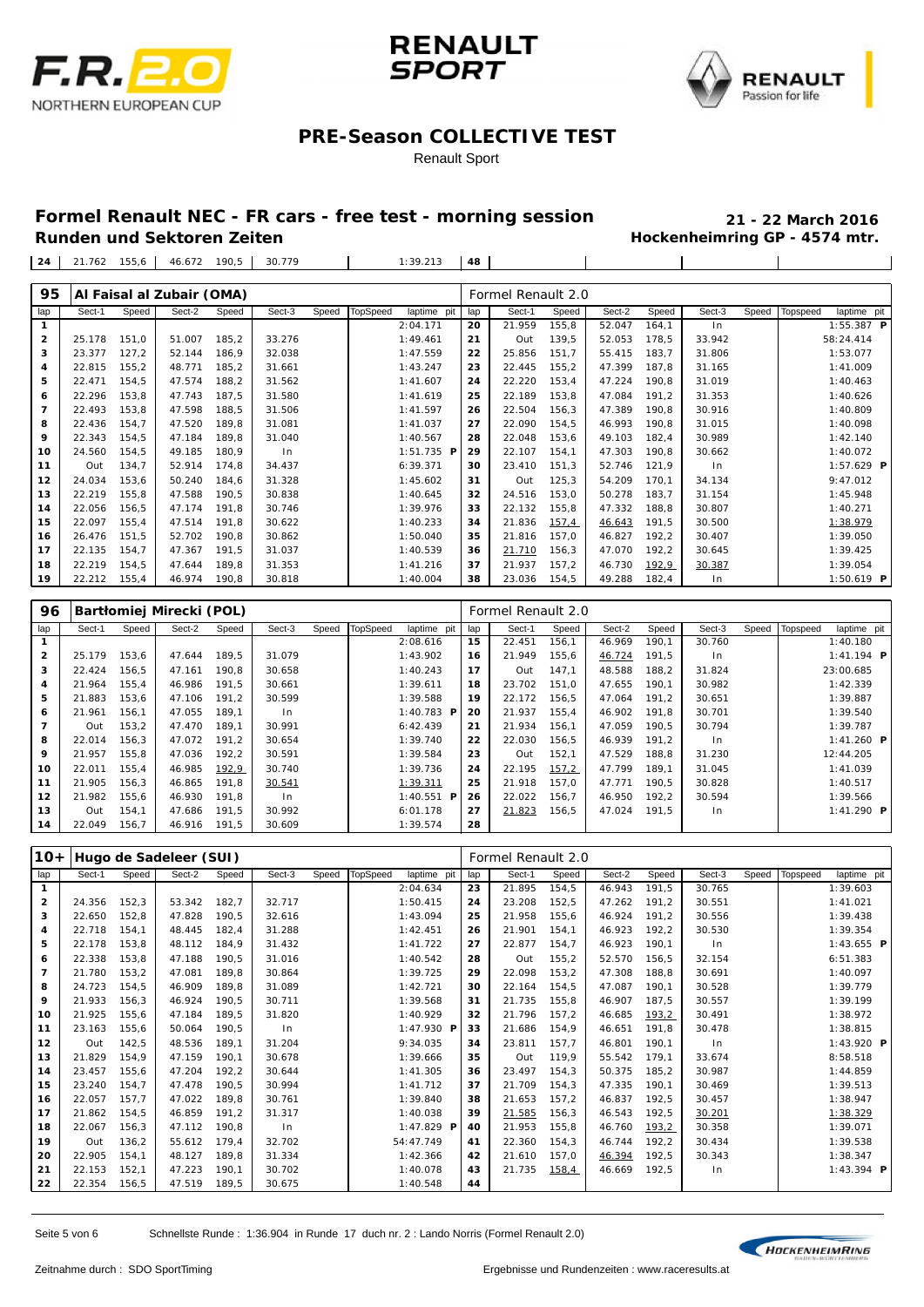





#### Renault Sport

## **Formel Renault NEC - FR cars - free test - morning session 21 - 22 March 2016**

**Hockenheimring GP - 4574 mtr.** 

 $\overline{1}$ 

21.762 155,6 46.672 190,5 30.779 1:39.213 **48**

| 95                |        |       | Al Faisal al Zubair (OMA) |       |        |       |                 |              |     | Formel Renault 2.0 |       |        |       |        |       |          |                     |
|-------------------|--------|-------|---------------------------|-------|--------|-------|-----------------|--------------|-----|--------------------|-------|--------|-------|--------|-------|----------|---------------------|
| lap               | Sect-1 | Speed | Sect-2                    | Speed | Sect-3 | Speed | <b>TopSpeed</b> | laptime pit  | lap | Sect-1             | Speed | Sect-2 | Speed | Sect-3 | Speed | Topspeed | laptime pit         |
|                   |        |       |                           |       |        |       |                 | 2:04.171     | 20  | 21.959             | 155,8 | 52.047 | 164,1 | ln     |       |          | 1:55.387 $P$        |
| $\overline{2}$    | 25.178 | 151,0 | 51.007                    | 185,2 | 33.276 |       |                 | 1:49.461     | 21  | Out                | 139,5 | 52.053 | 178,5 | 33.942 |       |          | 58:24.414           |
| 3                 | 23.377 | 127,2 | 52.144                    | 186,9 | 32.038 |       |                 | 1:47.559     | 22  | 25.856             | 151,7 | 55.415 | 183,7 | 31.806 |       |          | 1:53.077            |
| 4                 | 22.815 | 155,2 | 48.771                    | 185,2 | 31.661 |       |                 | 1:43.247     | 23  | 22.445             | 155,2 | 47.399 | 187,8 | 31.165 |       |          | 1:41.009            |
| 5                 | 22.471 | 154,5 | 47.574                    | 188,2 | 31.562 |       |                 | 1:41.607     | 24  | 22.220             | 153,4 | 47.224 | 190,8 | 31.019 |       |          | 1:40.463            |
| 6                 | 22.296 | 153,8 | 47.743                    | 187,5 | 31.580 |       |                 | 1:41.619     | 25  | 22.189             | 153,8 | 47.084 | 191,2 | 31.353 |       |          | 1:40.626            |
| $\overline{7}$    | 22.493 | 153,8 | 47.598                    | 188,5 | 31.506 |       |                 | 1:41.597     | 26  | 22.504             | 156,3 | 47.389 | 190,8 | 30.916 |       |          | 1:40.809            |
| 8                 | 22.436 | 154,7 | 47.520                    | 189,8 | 31.081 |       |                 | 1:41.037     | 27  | 22.090             | 154,5 | 46.993 | 190,8 | 31.015 |       |          | 1:40.098            |
| 9                 | 22.343 | 154,5 | 47.184                    | 189,8 | 31.040 |       |                 | 1:40.567     | 28  | 22.048             | 153,6 | 49.103 | 182,4 | 30.989 |       |          | 1:42.140            |
| 10                | 24.560 | 154,5 | 49.185                    | 180,9 | $\ln$  |       |                 | $1:51.735$ P | 29  | 22.107             | 154,1 | 47.303 | 190,8 | 30.662 |       |          | 1:40.072            |
| 11                | Out    | 134,7 | 52.914                    | 174,8 | 34.437 |       |                 | 6: 39.371    | 30  | 23.410             | 151,3 | 52.746 | 121,9 | ln     |       |          | $1:57.629$ <b>P</b> |
| $12 \overline{ }$ | 24.034 | 153,6 | 50.240                    | 184,6 | 31.328 |       |                 | 1:45.602     | 31  | Out                | 125,3 | 54.209 | 170,1 | 34.134 |       |          | 9:47.012            |
| 13                | 22.219 | 155,8 | 47.588                    | 190,5 | 30.838 |       |                 | 1:40.645     | 32  | 24.516             | 153,0 | 50.278 | 183,7 | 31.154 |       |          | 1:45.948            |
| 14                | 22.056 | 156,5 | 47.174                    | 191,8 | 30.746 |       |                 | 1:39.976     | 33  | 22.132             | 155,8 | 47.332 | 188,8 | 30.807 |       |          | 1:40.271            |
| 15                | 22.097 | 155,4 | 47.514                    | 191,8 | 30.622 |       |                 | 1:40.233     | 34  | 21.836             | 157,4 | 46.643 | 191,5 | 30.500 |       |          | 1:38.979            |
| 16                | 26.476 | 151,5 | 52.702                    | 190,8 | 30.862 |       |                 | 1:50.040     | 35  | 21.816             | 157,0 | 46.827 | 192,2 | 30.407 |       |          | 1:39.050            |
| 17                | 22.135 | 154,7 | 47.367                    | 191,5 | 31.037 |       |                 | 1:40.539     | 36  | 21.710             | 156,3 | 47.070 | 192,2 | 30.645 |       |          | 1:39.425            |
| 18                | 22.219 | 154,5 | 47.644                    | 189,8 | 31.353 |       |                 | 1:41.216     | 37  | 21.937             | 157,2 | 46.730 | 192,9 | 30.387 |       |          | 1:39.054            |
| 19                | 22.212 | 155.4 | 46.974                    | 190,8 | 30.818 |       |                 | 1:40.004     | 38  | 23.036             | 154,5 | 49.288 | 182,4 | $\ln$  |       |          | $1:50.619$ <b>P</b> |

| 96           |        |       | Bartłomiej Mirecki (POL) |       |                |       |          |                         |     | Formel Renault 2.0 |       |        |       |        |       |          |              |  |
|--------------|--------|-------|--------------------------|-------|----------------|-------|----------|-------------------------|-----|--------------------|-------|--------|-------|--------|-------|----------|--------------|--|
| lap          | Sect-1 | Speed | Sect-2                   | Speed | Sect-3         | Speed | TopSpeed | laptime pit             | lap | Sect-1             | Speed | Sect-2 | Speed | Sect-3 | Speed | Topspeed | laptime pit  |  |
| $\mathbf{1}$ |        |       |                          |       |                |       |          | 2:08.616                | 15  | 22.451             | 156.1 | 46.969 | 190.1 | 30.760 |       |          | 1:40.180     |  |
| $\mathbf{2}$ | 25.179 | 153,6 | 47.644                   | 189.5 | 31.079         |       |          | 1:43.902                | 16  | 21.949             | 155,6 | 46.724 | 191.5 | ln     |       |          | 1:41.194 $P$ |  |
| з            | 22.424 | 156,5 | 47.161                   | 190.8 | 30.658         |       |          | 1:40.243                | 17  | Out                | 147,1 | 48.588 | 188.2 | 31.824 |       |          | 23:00.685    |  |
| 4            | 21.964 | 155,4 | 46.986                   | 191.5 | 30.661         |       |          | 1:39.611                | 18  | 23.702             | 151.0 | 47.655 | 190.1 | 30.982 |       |          | 1:42.339     |  |
| 5            | 21.883 | 153,6 | 47.106                   | 191.2 | 30.599         |       |          | 1:39.588                | 19  | 22.172             | 156,5 | 47.064 | 191.2 | 30.651 |       |          | 1:39.887     |  |
| 6            | 21.961 | 156,1 | 47.055                   | 189.1 | 1 <sub>n</sub> |       |          | 1:40.783 $\blacksquare$ | 20  | 21.937             | 155.4 | 46.902 | 191.8 | 30.701 |       |          | 1:39.540     |  |
| 7            | Out    | 153,2 | 47.470                   | 189.1 | 30.991         |       |          | 6: 42.439               | 21  | 21.934             | 156.1 | 47.059 | 190.5 | 30.794 |       |          | 1:39.787     |  |
| 8            | 22.014 | 156.3 | 47.072                   | 191.2 | 30.654         |       |          | 1:39.740                | 22  | 22.030             | 156,5 | 46.939 | 191.2 | ln     |       |          | 1:41.260 $P$ |  |
| 9            | 21.957 | 155.8 | 47.036                   | 192.2 | 30.591         |       |          | 1:39.584                | 23  | Out                | 152,1 | 47.529 | 188.8 | 31.230 |       |          | 12:44.205    |  |
| 10           | 22.011 | 155.4 | 46.985                   | 192,9 | 30.740         |       |          | 1:39.736                | 24  | 22.195             | 157,2 | 47.799 | 189.1 | 31.045 |       |          | 1:41.039     |  |
| 11           | 21.905 | 156,3 | 46.865                   | 191.8 | 30.541         |       |          | 1:39.311                | 25  | 21.918             | 157,0 | 47.771 | 190.5 | 30.828 |       |          | 1:40.517     |  |
| 12           | 21.982 | 155.6 | 46.930                   | 191.8 | 1 <sub>n</sub> |       |          | 1:40.551 $\blacksquare$ | 26  | 22.022             | 156.7 | 46.950 | 192.2 | 30.594 |       |          | 1:39.566     |  |
| 13           | Out    | 154,1 | 47.686                   | 191.5 | 30.992         |       |          | 6:01.178                | 27  | 21.823             | 156,5 | 47.024 | 191.5 | ln     |       |          | 1:41.290 $P$ |  |
| 14           | 22.049 | 156,7 | 46.916                   | 191.5 | 30.609         |       |          | 1:39.574                | 28  |                    |       |        |       |        |       |          |              |  |

| $10+$           |        |       | Hugo de Sadeleer (SUI) |       |        |       |                 |              |     | Formel Renault 2.0 |        |        |       |        |       |          |                     |  |
|-----------------|--------|-------|------------------------|-------|--------|-------|-----------------|--------------|-----|--------------------|--------|--------|-------|--------|-------|----------|---------------------|--|
| lap             | Sect-1 | Speed | Sect-2                 | Speed | Sect-3 | Speed | <b>TopSpeed</b> | laptime pit  | lap | Sect-1             | Speed  | Sect-2 | Speed | Sect-3 | Speed | Topspeed | laptime pit         |  |
| 1               |        |       |                        |       |        |       |                 | 2:04.634     | 23  | 21.895             | 154,5  | 46.943 | 191,5 | 30.765 |       |          | 1:39.603            |  |
| $\mathbf{2}$    | 24.356 | 152,3 | 53.342                 | 182,7 | 32.717 |       |                 | 1:50.415     | 24  | 23.208             | 152, 5 | 47.262 | 191,2 | 30.551 |       |          | 1:41.021            |  |
| 3               | 22.650 | 152,8 | 47.828                 | 190,5 | 32.616 |       |                 | 1:43.094     | 25  | 21.958             | 155,6  | 46.924 | 191.2 | 30.556 |       |          | 1:39.438            |  |
| 4               | 22.718 | 154,1 | 48.445                 | 182,4 | 31.288 |       |                 | 1:42.451     | 26  | 21.901             | 154.1  | 46.923 | 192,2 | 30.530 |       |          | 1:39.354            |  |
| 5               | 22.178 | 153,8 | 48.112                 | 184,9 | 31.432 |       |                 | 1:41.722     | 27  | 22.877             | 154,7  | 46.923 | 190,1 | ln     |       |          | $1:43.655$ <b>P</b> |  |
| 6               | 22.338 | 153,8 | 47.188                 | 190,5 | 31.016 |       |                 | 1:40.542     | 28  | Out                | 155,2  | 52.570 | 156,5 | 32.154 |       |          | 6:51.383            |  |
| $\overline{7}$  | 21.780 | 153,2 | 47.081                 | 189,8 | 30.864 |       |                 | 1:39.725     | 29  | 22.098             | 153,2  | 47.308 | 188,8 | 30.691 |       |          | 1:40.097            |  |
| 8               | 24.723 | 154,5 | 46.909                 | 189,8 | 31.089 |       |                 | 1:42.721     | 30  | 22.164             | 154,5  | 47.087 | 190.1 | 30.528 |       |          | 1:39.779            |  |
| 9               | 21.933 | 156,3 | 46.924                 | 190,5 | 30.711 |       |                 | 1:39.568     | 31  | 21.735             | 155,8  | 46.907 | 187.5 | 30.557 |       |          | 1:39.199            |  |
| 10              | 21.925 | 155,6 | 47.184                 | 189,5 | 31.820 |       |                 | 1:40.929     | 32  | 21.796             | 157.2  | 46.685 | 193,2 | 30.491 |       |          | 1:38.972            |  |
| 11              | 23.163 | 155.6 | 50.064                 | 190.5 | $\ln$  |       |                 | 1:47.930 P   | 33  | 21.686             | 154.9  | 46.651 | 191.8 | 30.478 |       |          | 1:38.815            |  |
| 12 <sub>1</sub> | Out    | 142.5 | 48.536                 | 189.1 | 31.204 |       |                 | 9:34.035     | 34  | 23.811             | 157.7  | 46.801 | 190.1 | ln     |       |          | 1:43.920 P          |  |
| 13              | 21.829 | 154.9 | 47.159                 | 190.1 | 30.678 |       |                 | 1:39.666     | 35  | Out                | 119.9  | 55.542 | 179.1 | 33.674 |       |          | 8:58.518            |  |
| 14              | 23.457 | 155,6 | 47.204                 | 192.2 | 30.644 |       |                 | 1:41.305     | 36  | 23.497             | 154.3  | 50.375 | 185.2 | 30.987 |       |          | 1:44.859            |  |
| 15              | 23.240 | 154.7 | 47.478                 | 190.5 | 30.994 |       |                 | 1:41.712     | 37  | 21.709             | 154.3  | 47.335 | 190.1 | 30.469 |       |          | 1:39.513            |  |
| 16              | 22.057 | 157.7 | 47.022                 | 189.8 | 30.761 |       |                 | 1:39.840     | 38  | 21.653             | 157.2  | 46.837 | 192.5 | 30.457 |       |          | 1:38.947            |  |
| 17              | 21.862 | 154,5 | 46.859                 | 191.2 | 31.317 |       |                 | 1:40.038     | 39  | 21.585             | 156,3  | 46.543 | 192,5 | 30.201 |       |          | 1:38.329            |  |
| 18              | 22.067 | 156,3 | 47.112                 | 190,8 | $\ln$  |       |                 | 1:47.829 $P$ | 40  | 21.953             | 155,8  | 46.760 | 193,2 | 30.358 |       |          | 1:39.071            |  |
| 19              | Out    | 136,2 | 55.612                 | 179.4 | 32.702 |       |                 | 54:47.749    | 41  | 22.360             | 154.3  | 46.744 | 192,2 | 30.434 |       |          | 1:39.538            |  |
| 20              | 22.905 | 154,1 | 48.127                 | 189,8 | 31.334 |       |                 | 1:42.366     | 42  | 21.610             | 157,0  | 46.394 | 192,5 | 30.343 |       |          | 1:38.347            |  |
| 21              | 22.153 | 152,1 | 47.223                 | 190.1 | 30.702 |       |                 | 1:40.078     | 43  | 21.735             | 158,4  | 46.669 | 192,5 | ln     |       |          | 1:43.394 $P$        |  |
| 22              | 22.354 | 156,5 | 47.519                 | 189,5 | 30.675 |       |                 | 1:40.548     | 44  |                    |        |        |       |        |       |          |                     |  |